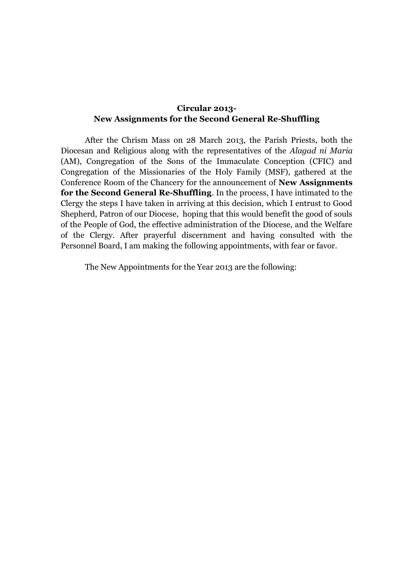## **Circular 2013- New Assignments for the Second General Re-Shuffling**

After the Chrism Mass on 28 March 2013, the Parish Priests, both the Diocesan and Religious along with the representatives of the *Alagad ni Maria* (AM), Congregation of the Sons of the Immaculate Conception (CFIC) and Congregation of the Missionaries of the Holy Family (MSF), gathered at the Conference Room of the Chancery for the announcement of **New Assignments for the Second General Re-Shuffling**. In the process, I have intimated to the Clergy the steps I have taken in arriving at this decision, which I entrust to Good Shepherd, Patron of our Diocese, hoping that this would benefit the good of souls of the People of God, the effective administration of the Diocese, and the Welfare of the Clergy. After prayerful discernment and having consulted with the Personnel Board, I am making the following appointments, with fear or favor.

The New Appointments for the Year 2013 are the following: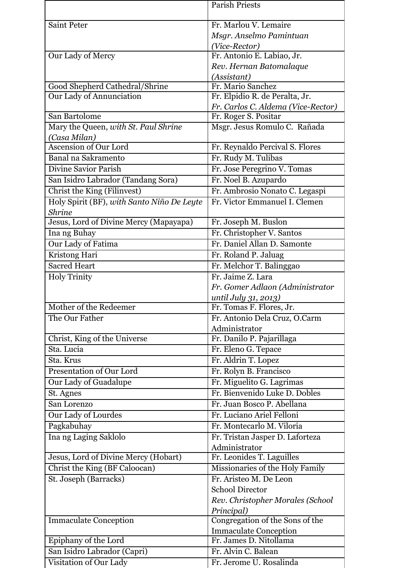|                                            | <b>Parish Priests</b>                                 |
|--------------------------------------------|-------------------------------------------------------|
|                                            |                                                       |
| <b>Saint Peter</b>                         | Fr. Marlou V. Lemaire                                 |
|                                            | Msgr. Anselmo Pamintuan                               |
| Our Lady of Mercy                          | (Vice-Rector)                                         |
|                                            | Fr. Antonio E. Labiao, Jr.<br>Rev. Hernan Batomalaque |
|                                            | (Assistant)                                           |
| Good Shepherd Cathedral/Shrine             | Fr. Mario Sanchez                                     |
| Our Lady of Annunciation                   | Fr. Elpidio R. de Peralta, Jr.                        |
|                                            | Fr. Carlos C. Aldema (Vice-Rector)                    |
| San Bartolome                              | Fr. Roger S. Positar                                  |
| Mary the Queen, with St. Paul Shrine       | Msgr. Jesus Romulo C. Rañada                          |
| (Casa Milan)                               |                                                       |
| <b>Ascension of Our Lord</b>               | Fr. Reynaldo Percival S. Flores                       |
| Banal na Sakramento                        | Fr. Rudy M. Tulibas                                   |
| <b>Divine Savior Parish</b>                | Fr. Jose Peregrino V. Tomas                           |
| San Isidro Labrador (Tandang Sora)         | Fr. Noel B. Azupardo                                  |
| Christ the King (Filinvest)                | Fr. Ambrosio Nonato C. Legaspi                        |
| Holy Spirit (BF), with Santo Niño De Leyte | Fr. Victor Emmanuel I. Clemen                         |
| <b>Shrine</b>                              |                                                       |
| Jesus, Lord of Divine Mercy (Mapayapa)     | Fr. Joseph M. Buslon                                  |
| Ina ng Buhay                               | Fr. Christopher V. Santos                             |
| Our Lady of Fatima                         | Fr. Daniel Allan D. Samonte                           |
| Kristong Hari                              | Fr. Roland P. Jaluag                                  |
| <b>Sacred Heart</b>                        | Fr. Melchor T. Balinggao                              |
| <b>Holy Trinity</b>                        | Fr. Jaime Z. Lara                                     |
|                                            | Fr. Gomer Adlaon (Administrator                       |
|                                            | until July 31, 2013)                                  |
| Mother of the Redeemer                     | Fr. Tomas F. Flores, Jr.                              |
| The Our Father                             | Fr. Antonio Dela Cruz, O.Carm                         |
|                                            | Administrator                                         |
| Christ, King of the Universe               | Fr. Danilo P. Pajarillaga                             |
| Sta. Lucia                                 | Fr. Eleno G. Tepace                                   |
| Sta. Krus                                  | Fr. Aldrin T. Lopez                                   |
| Presentation of Our Lord                   | Fr. Rolyn B. Francisco                                |
| Our Lady of Guadalupe                      | Fr. Miguelito G. Lagrimas                             |
| St. Agnes                                  | Fr. Bienvenido Luke D. Dobles                         |
| San Lorenzo                                | Fr. Juan Bosco P. Abellana                            |
| Our Lady of Lourdes                        | Fr. Luciano Ariel Felloni                             |
| Pagkabuhay                                 | Fr. Montecarlo M. Viloria                             |
| Ina ng Laging Saklolo                      | Fr. Tristan Jasper D. Laforteza                       |
|                                            | Administrator                                         |
| Jesus, Lord of Divine Mercy (Hobart)       | Fr. Leonides T. Laguilles                             |
| Christ the King (BF Caloocan)              | Missionaries of the Holy Family                       |
| St. Joseph (Barracks)                      | Fr. Aristeo M. De Leon                                |
|                                            | <b>School Director</b>                                |
|                                            | Rev. Christopher Morales (School                      |
|                                            | Principal)                                            |
| <b>Immaculate Conception</b>               | Congregation of the Sons of the                       |
|                                            | <b>Immaculate Conception</b>                          |
| Epiphany of the Lord                       | Fr. James D. Nitollama                                |
| San Isidro Labrador (Capri)                | Fr. Alvin C. Balean                                   |
| Visitation of Our Lady                     | Fr. Jerome U. Rosalinda                               |